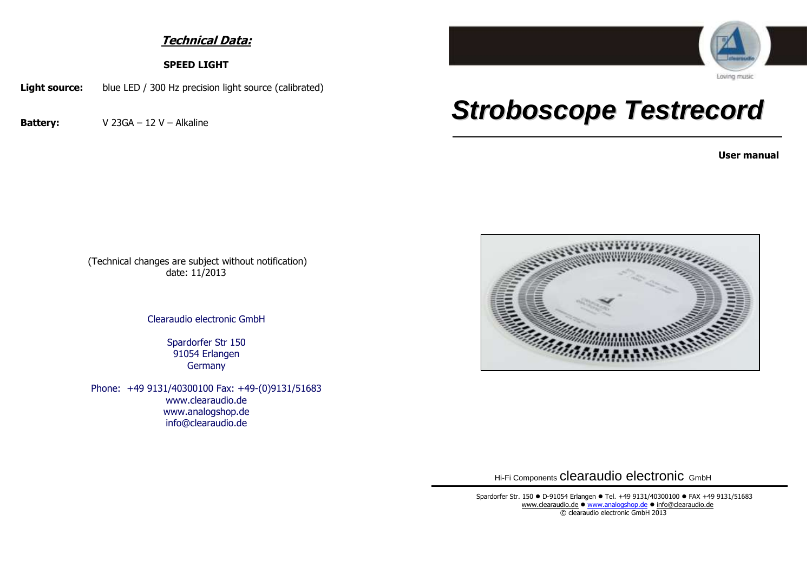## **Technical Data:**

**SPEED LIGHT**

**Light source:** blue LED / 300 Hz precision light source (calibrated)

**Battery:** V 23GA – 12 V – Alkaline



## *Stroboscope Testrecord*

**User manual**

(Technical changes are subject without notification) date: 11/2013

Clearaudio electronic GmbH

Spardorfer Str 150 91054 Erlangen **Germany** 

Phone: +49 9131/40300100 Fax: +49-(0)9131/51683 www.clearaudio.de www.analogshop.de info@clearaudio.de



Hi-Fi Components clearaudio electronic GmbH

Spardorfer Str. 150 · D-91054 Erlangen · Tel. +49 9131/40300100 · FAX +49 9131/51683 [www.clearaudio.de](http://www.clearaudio.de/) • [www.analogshop.de](http://www.analogshop.de/) • [info@clearaudio.de](mailto:info@clearaudio.de) © clearaudio electronic GmbH 2013